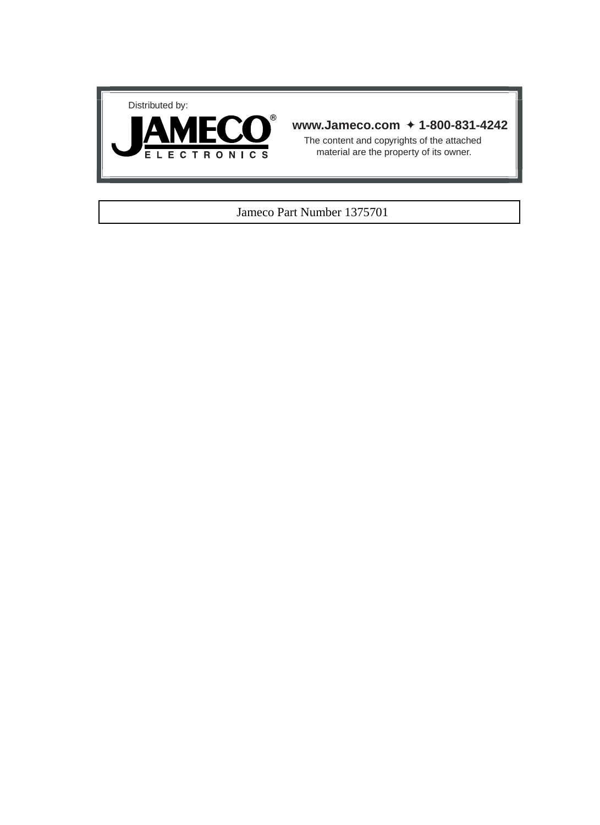



## **www.Jameco.com** ✦ **1-800-831-4242**

The content and copyrights of the attached material are the property of its owner.

### Jameco Part Number 1375701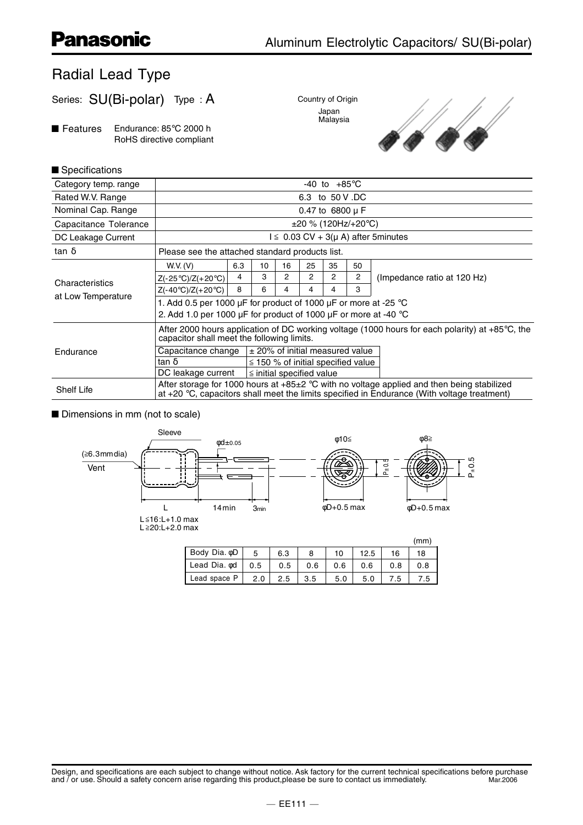# Radial Lead Type

Series: SU(Bi-polar) Type : A

■ Features Endurance: 85°C 2000 h RoHS directive compliant





#### $\blacksquare$  Specifications

| Category temp. range  | $-40$ to $+85^{\circ}$ C                                                                                                                                                                  |     |                                         |    |    |                |    |                             |  |  |  |
|-----------------------|-------------------------------------------------------------------------------------------------------------------------------------------------------------------------------------------|-----|-----------------------------------------|----|----|----------------|----|-----------------------------|--|--|--|
| Rated W.V. Range      | 6.3 to 50 V .DC                                                                                                                                                                           |     |                                         |    |    |                |    |                             |  |  |  |
| Nominal Cap. Range    | 0.47 to $6800 \mu F$                                                                                                                                                                      |     |                                         |    |    |                |    |                             |  |  |  |
| Capacitance Tolerance | $\pm 20$ % (120Hz/+20°C)                                                                                                                                                                  |     |                                         |    |    |                |    |                             |  |  |  |
| DC Leakage Current    | $l \leq 0.03$ CV + 3( $\mu$ A) after 5 minutes                                                                                                                                            |     |                                         |    |    |                |    |                             |  |  |  |
| tan $\delta$          | Please see the attached standard products list.                                                                                                                                           |     |                                         |    |    |                |    |                             |  |  |  |
|                       | W.V. (V)                                                                                                                                                                                  | 6.3 | 10                                      | 16 | 25 | 35             | 50 |                             |  |  |  |
| Characteristics       | $Z(-25^{\circ}C)/Z(+20^{\circ}C)$                                                                                                                                                         | 4   | 3                                       | 2  | 2  | $\overline{2}$ | 2  | (Impedance ratio at 120 Hz) |  |  |  |
| at Low Temperature    | $Z(-40^{\circ}C)/Z(+20^{\circ}C)$                                                                                                                                                         | 8   | 6                                       | 4  | 4  | 4              | 3  |                             |  |  |  |
|                       | 1. Add 0.5 per 1000 µF for product of 1000 µF or more at -25 $^{\circ}$ C                                                                                                                 |     |                                         |    |    |                |    |                             |  |  |  |
|                       | 2. Add 1.0 per 1000 µF for product of 1000 µF or more at -40 $^{\circ}$ C                                                                                                                 |     |                                         |    |    |                |    |                             |  |  |  |
|                       | After 2000 hours application of DC working voltage (1000 hours for each polarity) at $+85^{\circ}$ C, the<br>capacitor shall meet the following limits.                                   |     |                                         |    |    |                |    |                             |  |  |  |
| Endurance             | Capacitance change<br>$\pm$ 20% of initial measured value                                                                                                                                 |     |                                         |    |    |                |    |                             |  |  |  |
|                       | $\tan \delta$                                                                                                                                                                             |     | $\leq$ 150 % of initial specified value |    |    |                |    |                             |  |  |  |
|                       | DC leakage current<br>$\le$ initial specified value                                                                                                                                       |     |                                         |    |    |                |    |                             |  |  |  |
| <b>Shelf Life</b>     | After storage for 1000 hours at +85±2 °C with no voltage applied and then being stabilized<br>at +20 °C, capacitors shall meet the limits specified in Endurance (With voltage treatment) |     |                                         |    |    |                |    |                             |  |  |  |

Dimensions in mm (not to scale)



2.0 | 2.5 | 3.5 | 5.0 | 5.0 | 7.5 | 7.5

Lead space P

Design, and specifications are each subject to change without notice. Ask factory for the current technical specifications before purchase and / or use. Should a safety concern arise regarding this product please be sure t and / or use. Should a safety concern arise regarding this product, please be sure to contact us immediately.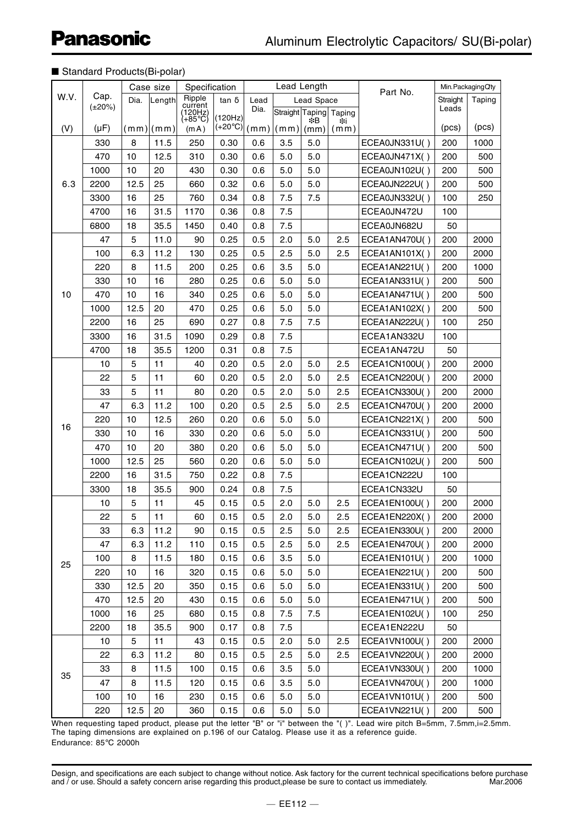#### ■ Standard Products(Bi-polar)

|      | Case size    |                | Specification |                               |                                                                                                          |      | Lead Length          |                 |            | Min.PackagingQty     |          |        |
|------|--------------|----------------|---------------|-------------------------------|----------------------------------------------------------------------------------------------------------|------|----------------------|-----------------|------------|----------------------|----------|--------|
| W.V. | Cap.         | Dia.           | Length        | Ripple                        | $tan \delta$                                                                                             | Lead | Lead Space           |                 |            | Part No.             | Straight | Taping |
|      | $(\pm 20\%)$ |                |               | current<br>(120Hz)<br>(+85°C) |                                                                                                          | Dia. |                      | Straight Taping | Taping     |                      | Leads    |        |
| (V)  | $(\mu F)$    |                | (mm) (mm)     | (mA)                          | (120Hz)<br>$\left  \left( +20^{\circ} \text{C} \right) \right  \left( \text{m} \text{m} \right) \right $ |      | $\vert$ (mm) $\vert$ | ∗∗B<br>(mm)     | ≭i<br>(mm) |                      | (pcs)    | (pcs)  |
|      | 330          | 8              | 11.5          | 250                           | 0.30                                                                                                     | 0.6  | 3.5                  | 5.0             |            | ECEA0JN331U()        | 200      | 1000   |
|      | 470          | 10             | 12.5          | 310                           | 0.30                                                                                                     | 0.6  | 5.0                  | 5.0             |            | ECEA0JN471X()        | 200      | 500    |
|      | 1000         | 10             | 20            | 430                           | 0.30                                                                                                     | 0.6  | 5.0                  | 5.0             |            | ECEA0JN102U()        | 200      | 500    |
| 6.3  | 2200         | 12.5           | 25            | 660                           | 0.32                                                                                                     | 0.6  | 5.0                  | 5.0             |            | ECEA0JN222U()        | 200      | 500    |
|      | 3300         | 16             | 25            | 760                           | 0.34                                                                                                     | 0.8  | 7.5                  | 7.5             |            | ECEA0JN332U()        | 100      | 250    |
|      | 4700         | 16             | 31.5          | 1170                          | 0.36                                                                                                     | 0.8  | 7.5                  |                 |            | ECEA0JN472U          | 100      |        |
|      | 6800         | 18             | 35.5          | 1450                          | 0.40                                                                                                     | 0.8  | 7.5                  |                 |            | ECEA0JN682U          | 50       |        |
|      | 47           | 5              | 11.0          | 90                            | 0.25                                                                                                     | 0.5  | 2.0                  | 5.0             | 2.5        | ECEA1AN470U()        | 200      | 2000   |
|      | 100          | 6.3            | 11.2          | 130                           | 0.25                                                                                                     | 0.5  | 2.5                  | 5.0             | 2.5        | ECEA1AN101X()        | 200      | 2000   |
|      | 220          | 8              | 11.5          | 200                           | 0.25                                                                                                     | 0.6  | 3.5                  | 5.0             |            | ECEA1AN221U()        | 200      | 1000   |
|      | 330          | 10             | 16            | 280                           | 0.25                                                                                                     | 0.6  | 5.0                  | 5.0             |            | ECEA1AN331U()        | 200      | 500    |
| 10   | 470          | 10             | 16            | 340                           | 0.25                                                                                                     | 0.6  | 5.0                  | 5.0             |            | ECEA1AN471U()        | 200      | 500    |
|      | 1000         | 12.5           | 20            | 470                           | 0.25                                                                                                     | 0.6  | 5.0                  | 5.0             |            | ECEA1AN102X()        | 200      | 500    |
|      | 2200         | 16             | 25            | 690                           | 0.27                                                                                                     | 0.8  | 7.5                  | 7.5             |            | ECEA1AN222U()        | 100      | 250    |
|      | 3300         | 16             | 31.5          | 1090                          | 0.29                                                                                                     | 0.8  | 7.5                  |                 |            | ECEA1AN332U          | 100      |        |
|      | 4700         | 18             | 35.5          | 1200                          | 0.31                                                                                                     | 0.8  | 7.5                  |                 |            | ECEA1AN472U          | 50       |        |
|      | 10           | $\overline{5}$ | 11            | 40                            | 0.20                                                                                                     | 0.5  | 2.0                  | 5.0             | 2.5        | ECEA1CN100U()        | 200      | 2000   |
|      | 22           | 5              | 11            | 60                            | 0.20                                                                                                     | 0.5  | 2.0                  | 5.0             | 2.5        | ECEA1CN220U()        | 200      | 2000   |
|      | 33           | 5              | 11            | 80                            | 0.20                                                                                                     | 0.5  | 2.0                  | 5.0             | 2.5        | ECEA1CN330U()        | 200      | 2000   |
|      | 47           | 6.3            | 11.2          | 100                           | 0.20                                                                                                     | 0.5  | 2.5                  | 5.0             | 2.5        | ECEA1CN470U()        | 200      | 2000   |
|      | 220          | 10             | 12.5          | 260                           | 0.20                                                                                                     | 0.6  | 5.0                  | 5.0             |            | <b>ECEA1CN221X()</b> | 200      | 500    |
| 16   | 330          | 10             | 16            | 330                           | 0.20                                                                                                     | 0.6  | 5.0                  | 5.0             |            | ECEA1CN331U()        | 200      | 500    |
|      | 470          | 10             | 20            | 380                           | 0.20                                                                                                     | 0.6  | 5.0                  | 5.0             |            | ECEA1CN471U()        | 200      | 500    |
|      | 1000         | 12.5           | 25            | 560                           | 0.20                                                                                                     | 0.6  | 5.0                  | 5.0             |            | ECEA1CN102U()        | 200      | 500    |
|      | 2200         | 16             | 31.5          | 750                           | 0.22                                                                                                     | 0.8  | 7.5                  |                 |            | ECEA1CN222U          | 100      |        |
|      | 3300         | 18             | 35.5          | 900                           | 0.24                                                                                                     | 0.8  | 7.5                  |                 |            | ECEA1CN332U          | 50       |        |
|      | 10           | 5              | 11            | 45                            | 0.15                                                                                                     | 0.5  | 2.0                  | 5.0             | 2.5        | ECEA1EN100U()        | 200      | 2000   |
|      | 22           | 5              | 11            | 60                            | 0.15                                                                                                     | 0.5  | 2.0                  | 5.0             | 2.5        | ECEA1EN220X()        | 200      | 2000   |
|      | 33           | 6.3            | 11.2          | 90                            | 0.15                                                                                                     | 0.5  | 2.5                  | 5.0             | 2.5        | ECEA1EN330U()        | 200      | 2000   |
|      | 47           | 6.3            | 11.2          | 110                           | 0.15                                                                                                     | 0.5  | 2.5                  | 5.0             | 2.5        | ECEA1EN470U()        | 200      | 2000   |
|      | 100          | 8              | 11.5          | 180                           | 0.15                                                                                                     | 0.6  | 3.5                  | 5.0             |            | ECEA1EN101U()        | 200      | 1000   |
| 25   | 220          | 10             | 16            | 320                           | 0.15                                                                                                     | 0.6  | 5.0                  | 5.0             |            | ECEA1EN221U()        | 200      | 500    |
|      | 330          | 12.5           | 20            | 350                           | 0.15                                                                                                     | 0.6  | 5.0                  | 5.0             |            | ECEA1EN331U()        | 200      | 500    |
|      | 470          | 12.5           | 20            | 430                           | 0.15                                                                                                     | 0.6  | 5.0                  | 5.0             |            | ECEA1EN471U()        | 200      | 500    |
|      | 1000         | 16             | 25            | 680                           | 0.15                                                                                                     | 0.8  | 7.5                  | 7.5             |            | ECEA1EN102U()        | 100      | 250    |
|      | 2200         | 18             | 35.5          | 900                           | 0.17                                                                                                     | 0.8  | 7.5                  |                 |            | ECEA1EN222U          | 50       |        |
| 35   | 10           | 5              | 11            | 43                            | 0.15                                                                                                     | 0.5  | 2.0                  | 5.0             | 2.5        | ECEA1VN100U()        | 200      | 2000   |
|      | 22           | 6.3            | 11.2          | 80                            | 0.15                                                                                                     | 0.5  | 2.5                  | 5.0             | 2.5        | ECEA1VN220U()        | 200      | 2000   |
|      | 33           | 8              | 11.5          | 100                           | 0.15                                                                                                     | 0.6  | 3.5                  | 5.0             |            | ECEA1VN330U()        | 200      | 1000   |
|      | 47           | 8              | 11.5          | 120                           | 0.15                                                                                                     | 0.6  | 3.5                  | 5.0             |            | ECEA1VN470U()        | 200      | 1000   |
|      | 100          | 10             | 16            | 230                           | 0.15                                                                                                     | 0.6  | 5.0                  | 5.0             |            | ECEA1VN101U()        | 200      | 500    |
|      | 220          | 12.5           | 20            | 360                           | 0.15                                                                                                     | 0.6  | 5.0                  | 5.0             |            | ECEA1VN221U()        | 200      | 500    |

When requesting taped product, please put the letter "B" or "i" between the "( )". Lead wire pitch B=5mm, 7.5mm,i=2.5mm. The taping dimensions are explained on p.196 of our Catalog. Please use it as a reference guide. Endurance: 85°C 2000h

Design, and specifications are each subject to change without notice. Ask factory for the current technical specifications before purchase and / or use. Should a safety concern arise regarding this product,please be sure to contact us immediately. Mar.2006